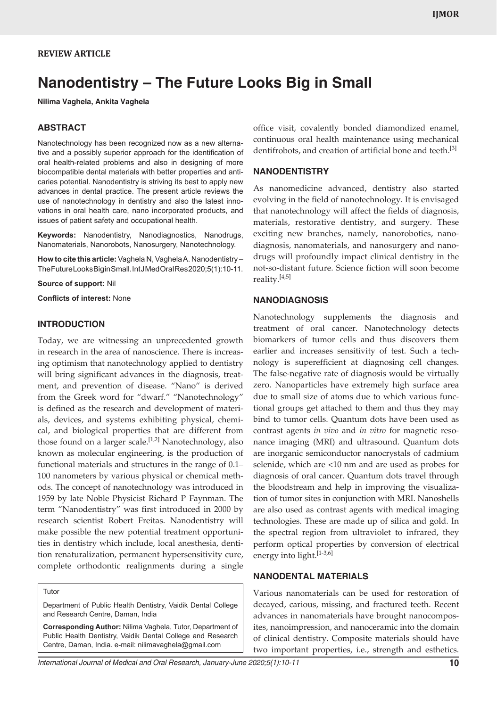# **REVIEW ARTICLE**

# **Nanodentistry – The Future Looks Big in Small**

**Nilima Vaghela, Ankita Vaghela**

## **ABSTRACT**

Nanotechnology has been recognized now as a new alternative and a possibly superior approach for the identification of oral health-related problems and also in designing of more biocompatible dental materials with better properties and anticaries potential. Nanodentistry is striving its best to apply new advances in dental practice. The present article reviews the use of nanotechnology in dentistry and also the latest innovations in oral health care, nano incorporated products, and issues of patient safety and occupational health.

**Keywords:** Nanodentistry, Nanodiagnostics, Nanodrugs, Nanomaterials, Nanorobots, Nanosurgery, Nanotechnology.

**How to cite this article:** Vaghela N, Vaghela A. Nanodentistry – The Future Looks Big in Small. Int J Med Oral Res 2020; 5(1): 10-11.

**Source of support:** Nil

**Conflicts of interest:** None

#### **INTRODUCTION**

Today, we are witnessing an unprecedented growth in research in the area of nanoscience. There is increasing optimism that nanotechnology applied to dentistry will bring significant advances in the diagnosis, treatment, and prevention of disease. "Nano" is derived from the Greek word for "dwarf." "Nanotechnology" is defined as the research and development of materials, devices, and systems exhibiting physical, chemical, and biological properties that are different from those found on a larger scale.<sup>[1,2]</sup> Nanotechnology, also known as molecular engineering, is the production of functional materials and structures in the range of 0.1– 100 nanometers by various physical or chemical methods. The concept of nanotechnology was introduced in 1959 by late Noble Physicist Richard P Faynman. The term "Nanodentistry" was first introduced in 2000 by research scientist Robert Freitas. Nanodentistry will make possible the new potential treatment opportunities in dentistry which include, local anesthesia, dentition renaturalization, permanent hypersensitivity cure, complete orthodontic realignments during a single

Tutor

Department of Public Health Dentistry, Vaidik Dental College and Research Centre, Daman, India

**Corresponding Author:** Nilima Vaghela, Tutor, Department of Public Health Dentistry, Vaidik Dental College and Research Centre, Daman, India. e-mail: nilimavaghela@gmail.com

office visit, covalently bonded diamondized enamel, continuous oral health maintenance using mechanical dentifrobots, and creation of artificial bone and teeth.<sup>[3]</sup>

#### **NANODENTISTRY**

As nanomedicine advanced, dentistry also started evolving in the field of nanotechnology. It is envisaged that nanotechnology will affect the fields of diagnosis, materials, restorative dentistry, and surgery. These exciting new branches, namely, nanorobotics, nanodiagnosis, nanomaterials, and nanosurgery and nanodrugs will profoundly impact clinical dentistry in the not-so-distant future. Science fiction will soon become reality.<sup>[4,5]</sup>

## **NANODIAGNOSIS**

Nanotechnology supplements the diagnosis and treatment of oral cancer. Nanotechnology detects biomarkers of tumor cells and thus discovers them earlier and increases sensitivity of test. Such a technology is superefficient at diagnosing cell changes. The false-negative rate of diagnosis would be virtually zero. Nanoparticles have extremely high surface area due to small size of atoms due to which various functional groups get attached to them and thus they may bind to tumor cells. Quantum dots have been used as contrast agents *in vivo* and *in vitro* for magnetic resonance imaging (MRI) and ultrasound. Quantum dots are inorganic semiconductor nanocrystals of cadmium selenide, which are <10 nm and are used as probes for diagnosis of oral cancer. Quantum dots travel through the bloodstream and help in improving the visualization of tumor sites in conjunction with MRI. Nanoshells are also used as contrast agents with medical imaging technologies. These are made up of silica and gold. In the spectral region from ultraviolet to infrared, they perform optical properties by conversion of electrical energy into light.<sup>[1-3,6]</sup>

## **NANODENTAL MATERIALS**

Various nanomaterials can be used for restoration of decayed, carious, missing, and fractured teeth. Recent advances in nanomaterials have brought nanocomposites, nanoimpression, and nanoceramic into the domain of clinical dentistry. Composite materials should have two important properties, i.e., strength and esthetics.